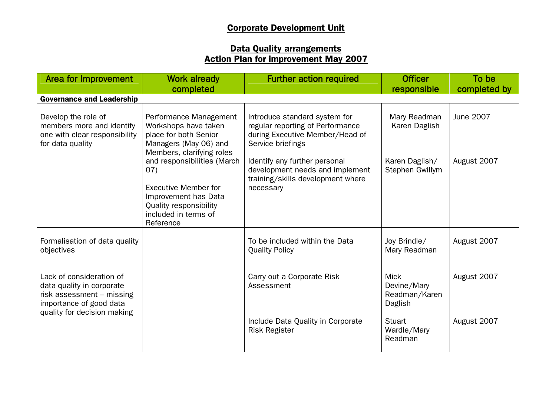## Corporate Development Unit

## Data Quality arrangements Action Plan for improvement May 2007

| Area for Improvement                                                                                                                         | <b>Work already</b><br>completed                                                                                                                          | <b>Further action required</b>                                                                                            | <b>Officer</b><br>responsible                          | To be<br>completed by |
|----------------------------------------------------------------------------------------------------------------------------------------------|-----------------------------------------------------------------------------------------------------------------------------------------------------------|---------------------------------------------------------------------------------------------------------------------------|--------------------------------------------------------|-----------------------|
| <b>Governance and Leadership</b>                                                                                                             |                                                                                                                                                           |                                                                                                                           |                                                        |                       |
| Develop the role of<br>members more and identify<br>one with clear responsibility<br>for data quality                                        | Performance Management<br>Workshops have taken<br>place for both Senior<br>Managers (May 06) and<br>Members, clarifying roles                             | Introduce standard system for<br>regular reporting of Performance<br>during Executive Member/Head of<br>Service briefings | Mary Readman<br>Karen Daglish                          | June 2007             |
|                                                                                                                                              | and responsibilities (March<br>(07)<br><b>Executive Member for</b><br>Improvement has Data<br>Quality responsibility<br>included in terms of<br>Reference | Identify any further personal<br>development needs and implement<br>training/skills development where<br>necessary        | Karen Daglish/<br>Stephen Gwillym                      | August 2007           |
| Formalisation of data quality<br>objectives                                                                                                  |                                                                                                                                                           | To be included within the Data<br><b>Quality Policy</b>                                                                   | Joy Brindle/<br>Mary Readman                           | August 2007           |
| Lack of consideration of<br>data quality in corporate<br>risk assessment - missing<br>importance of good data<br>quality for decision making |                                                                                                                                                           | Carry out a Corporate Risk<br>Assessment                                                                                  | <b>Mick</b><br>Devine/Mary<br>Readman/Karen<br>Daglish | August 2007           |
|                                                                                                                                              |                                                                                                                                                           | Include Data Quality in Corporate<br><b>Risk Register</b>                                                                 | <b>Stuart</b><br>Wardle/Mary<br>Readman                | August 2007           |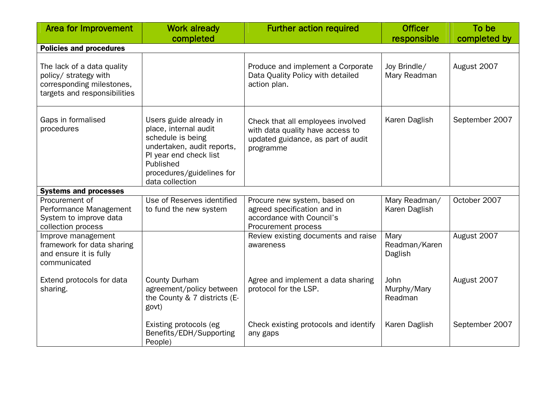| <b>Area for Improvement</b>                                                                                      | <b>Work already</b>                                                                                                                                                                       | <b>Further action required</b>                                                                                           | <b>Officer</b>                   | To be          |
|------------------------------------------------------------------------------------------------------------------|-------------------------------------------------------------------------------------------------------------------------------------------------------------------------------------------|--------------------------------------------------------------------------------------------------------------------------|----------------------------------|----------------|
|                                                                                                                  | completed                                                                                                                                                                                 |                                                                                                                          | responsible                      | completed by   |
| <b>Policies and procedures</b>                                                                                   |                                                                                                                                                                                           |                                                                                                                          |                                  |                |
| The lack of a data quality<br>policy/ strategy with<br>corresponding milestones,<br>targets and responsibilities |                                                                                                                                                                                           | Produce and implement a Corporate<br>Data Quality Policy with detailed<br>action plan.                                   | Joy Brindle/<br>Mary Readman     | August 2007    |
| Gaps in formalised<br>procedures                                                                                 | Users guide already in<br>place, internal audit<br>schedule is being<br>undertaken, audit reports,<br>PI year end check list<br>Published<br>procedures/guidelines for<br>data collection | Check that all employees involved<br>with data quality have access to<br>updated guidance, as part of audit<br>programme | Karen Daglish                    | September 2007 |
| <b>Systems and processes</b>                                                                                     |                                                                                                                                                                                           |                                                                                                                          |                                  |                |
| Procurement of<br>Performance Management<br>System to improve data<br>collection process                         | Use of Reserves identified<br>to fund the new system                                                                                                                                      | Procure new system, based on<br>agreed specification and in<br>accordance with Council's<br>Procurement process          | Mary Readman/<br>Karen Daglish   | October 2007   |
| Improve management<br>framework for data sharing<br>and ensure it is fully<br>communicated                       |                                                                                                                                                                                           | Review existing documents and raise<br>awareness                                                                         | Mary<br>Readman/Karen<br>Daglish | August 2007    |
| Extend protocols for data<br>sharing.                                                                            | <b>County Durham</b><br>agreement/policy between<br>the County & 7 districts (E-<br>govt)                                                                                                 | Agree and implement a data sharing<br>protocol for the LSP.                                                              | John<br>Murphy/Mary<br>Readman   | August 2007    |
|                                                                                                                  | Existing protocols (eg<br>Benefits/EDH/Supporting<br>People)                                                                                                                              | Check existing protocols and identify<br>any gaps                                                                        | Karen Daglish                    | September 2007 |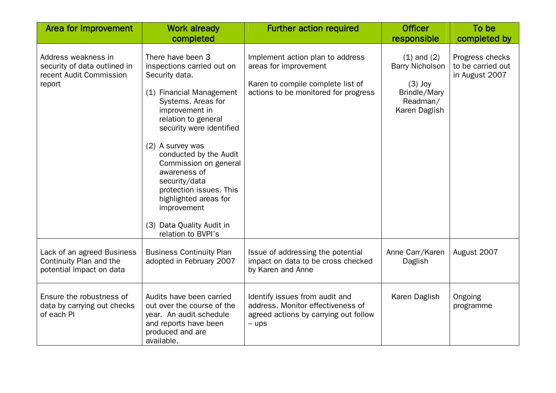| Area for Improvement                                                                     | <b>Work already</b><br>completed                                                                                                                                                                                                                                                                                                                                                                                       | <b>Further action required</b>                                                                                                         | <b>Officer</b><br>responsible                                                                       | To be<br>completed by                                  |
|------------------------------------------------------------------------------------------|------------------------------------------------------------------------------------------------------------------------------------------------------------------------------------------------------------------------------------------------------------------------------------------------------------------------------------------------------------------------------------------------------------------------|----------------------------------------------------------------------------------------------------------------------------------------|-----------------------------------------------------------------------------------------------------|--------------------------------------------------------|
| Address weakness in<br>security of data outlined in<br>recent Audit Commission<br>report | There have been 3<br>inspections carried out on<br>Security data.<br>(1) Financial Management<br>Systems. Areas for<br>improvement in<br>relation to general<br>security were identified<br>(2) A survey was<br>conducted by the Audit<br>Commission on general<br>awareness of<br>security/data<br>protection issues. This<br>highlighted areas for<br>improvement<br>(3) Data Quality Audit in<br>relation to BVPI's | Implement action plan to address<br>areas for improvement<br>Karen to compile complete list of<br>actions to be monitored for progress | $(1)$ and $(2)$<br><b>Barry Nicholson</b><br>$(3)$ Joy<br>Brindle/Mary<br>Readman/<br>Karen Daglish | Progress checks<br>to be carried out<br>in August 2007 |
| Lack of an agreed Business<br>Continuity Plan and the<br>potential impact on data        | <b>Business Continuity Plan</b><br>adopted in February 2007                                                                                                                                                                                                                                                                                                                                                            | Issue of addressing the potential<br>impact on data to be cross checked<br>by Karen and Anne                                           | Anne Carr/Karen<br>Daglish                                                                          | August 2007                                            |
| Ensure the robustness of<br>data by carrying out checks<br>of each PI                    | Audits have been carried<br>out over the course of the<br>year. An audit schedule<br>and reports have been<br>produced and are<br>available.                                                                                                                                                                                                                                                                           | Identify issues from audit and<br>address. Monitor effectiveness of<br>agreed actions by carrying out follow<br>$-$ ups                | Karen Daglish                                                                                       | Ongoing<br>programme                                   |